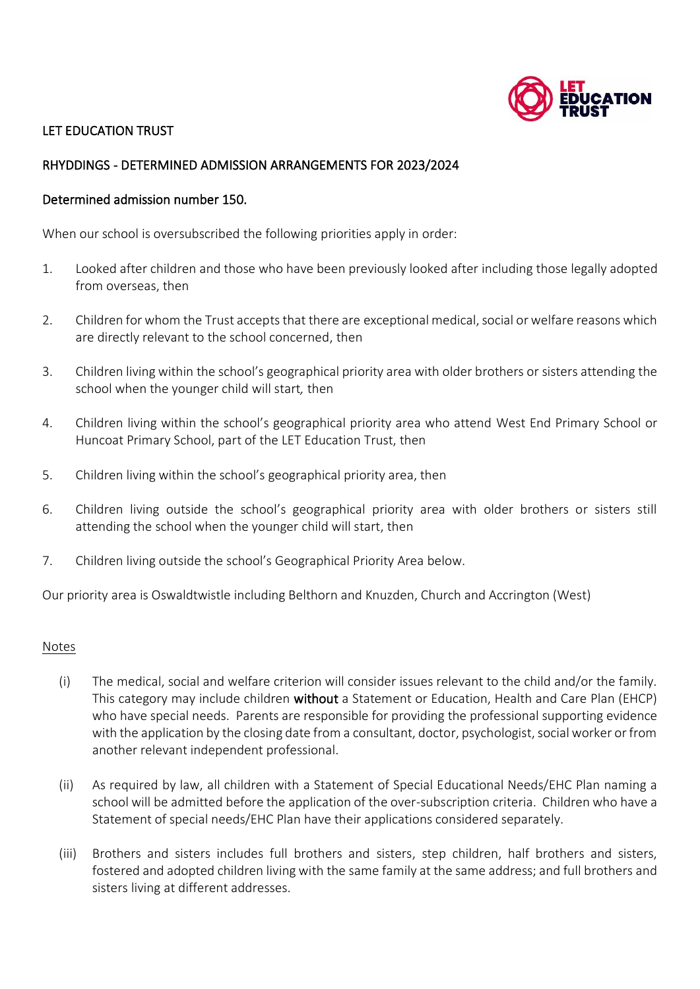

# LET EDUCATION TRUST

## RHYDDINGS - DETERMINED ADMISSION ARRANGEMENTS FOR 2023/2024

### Determined admission number 150.

When our school is oversubscribed the following priorities apply in order:

- 1. Looked after children and those who have been previously looked after including those legally adopted from overseas, then
- 2. Children for whom the Trust accepts that there are exceptional medical, social or welfare reasons which are directly relevant to the school concerned, then
- 3. Children living within the school's geographical priority area with older brothers or sisters attending the school when the younger child will start*,* then
- 4. Children living within the school's geographical priority area who attend West End Primary School or Huncoat Primary School, part of the LET Education Trust, then
- 5. Children living within the school's geographical priority area, then
- 6. Children living outside the school's geographical priority area with older brothers or sisters still attending the school when the younger child will start, then
- 7. Children living outside the school's Geographical Priority Area below.

Our priority area is Oswaldtwistle including Belthorn and Knuzden, Church and Accrington (West)

#### **Notes**

- (i) The medical, social and welfare criterion will consider issues relevant to the child and/or the family. This category may include children without a Statement or Education, Health and Care Plan (EHCP) who have special needs. Parents are responsible for providing the professional supporting evidence with the application by the closing date from a consultant, doctor, psychologist, social worker or from another relevant independent professional.
- (ii) As required by law, all children with a Statement of Special Educational Needs/EHC Plan naming a school will be admitted before the application of the over-subscription criteria. Children who have a Statement of special needs/EHC Plan have their applications considered separately.
- (iii) Brothers and sisters includes full brothers and sisters, step children, half brothers and sisters, fostered and adopted children living with the same family at the same address; and full brothers and sisters living at different addresses.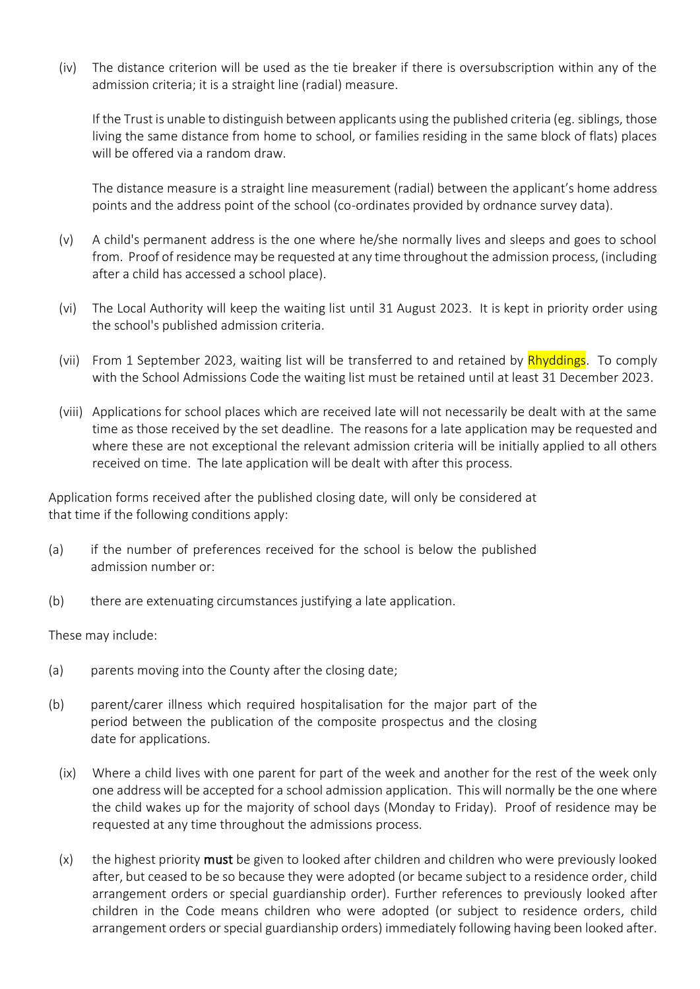(iv) The distance criterion will be used as the tie breaker if there is oversubscription within any of the admission criteria; it is a straight line (radial) measure.

If the Trust is unable to distinguish between applicants using the published criteria (eg. siblings, those living the same distance from home to school, or families residing in the same block of flats) places will be offered via a random draw.

The distance measure is a straight line measurement (radial) between the applicant's home address points and the address point of the school (co-ordinates provided by ordnance survey data).

- (v) A child's permanent address is the one where he/she normally lives and sleeps and goes to school from. Proof of residence may be requested at any time throughout the admission process, (including after a child has accessed a school place).
- (vi) The Local Authority will keep the waiting list until 31 August 2023. It is kept in priority order using the school's published admission criteria.
- (vii) From 1 September 2023, waiting list will be transferred to and retained by **Rhyddings**. To comply with the School Admissions Code the waiting list must be retained until at least 31 December 2023.
- (viii) Applications for school places which are received late will not necessarily be dealt with at the same time as those received by the set deadline. The reasons for a late application may be requested and where these are not exceptional the relevant admission criteria will be initially applied to all others received on time. The late application will be dealt with after this process.

Application forms received after the published closing date, will only be considered at that time if the following conditions apply:

- (a) if the number of preferences received for the school is below the published admission number or:
- (b) there are extenuating circumstances justifying a late application.

These may include:

- (a) parents moving into the County after the closing date;
- (b) parent/carer illness which required hospitalisation for the major part of the period between the publication of the composite prospectus and the closing date for applications.
	- (ix) Where a child lives with one parent for part of the week and another for the rest of the week only one address will be accepted for a school admission application. This will normally be the one where the child wakes up for the majority of school days (Monday to Friday). Proof of residence may be requested at any time throughout the admissions process.
	- $(x)$  the highest priority **must** be given to looked after children and children who were previously looked after, but ceased to be so because they were adopted (or became subject to a residence order, child arrangement orders or special guardianship order). Further references to previously looked after children in the Code means children who were adopted (or subject to residence orders, child arrangement orders or special guardianship orders) immediately following having been looked after.